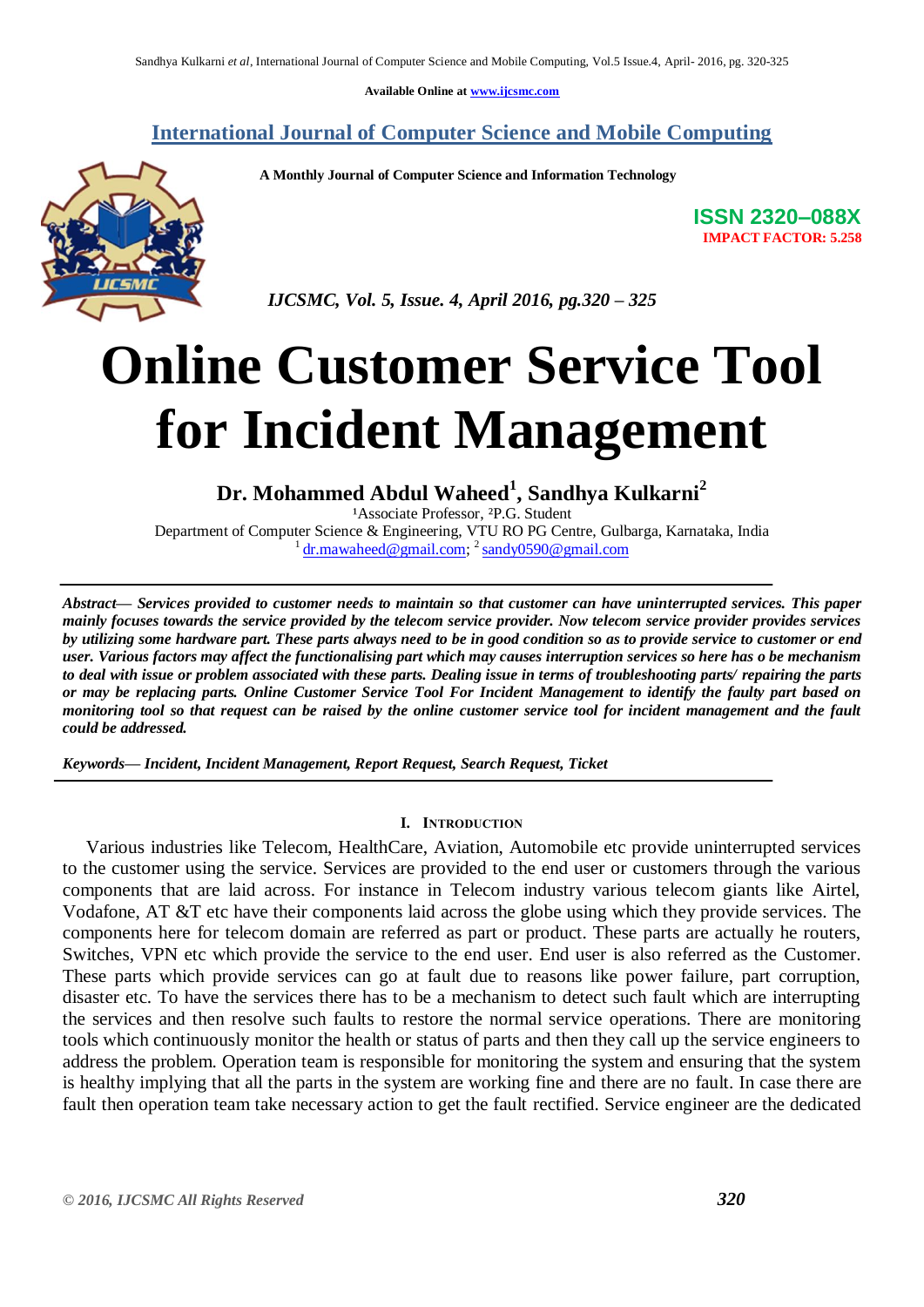**Available Online at [www.ijcsmc.com](http://www.ijcsmc.com/)**

**International Journal of Computer Science and Mobile Computing**

 **A Monthly Journal of Computer Science and Information Technology**



 *IJCSMC, Vol. 5, Issue. 4, April 2016, pg.320 – 325*

# **Online Customer Service Tool for Incident Management**

**Dr. Mohammed Abdul Waheed<sup>1</sup> , Sandhya Kulkarni<sup>2</sup>**

<sup>1</sup>Associate Professor, <sup>2</sup>P.G. Student Department of Computer Science & Engineering, VTU RO PG Centre, Gulbarga, Karnataka, India <sup>1</sup> [dr.mawaheed@gmail.com;](mailto:dr.mawaheed@gmail.com) <sup>2</sup> [sandy0590@gmail.com](mailto:sandy0590@gmail.com)

*Abstract— Services provided to customer needs to maintain so that customer can have uninterrupted services. This paper mainly focuses towards the service provided by the telecom service provider. Now telecom service provider provides services by utilizing some hardware part. These parts always need to be in good condition so as to provide service to customer or end user. Various factors may affect the functionalising part which may causes interruption services so here has o be mechanism to deal with issue or problem associated with these parts. Dealing issue in terms of troubleshooting parts/ repairing the parts or may be replacing parts. Online Customer Service Tool For Incident Management to identify the faulty part based on monitoring tool so that request can be raised by the online customer service tool for incident management and the fault could be addressed.* 

*Keywords— Incident, Incident Management, Report Request, Search Request, Ticket*

## **I. INTRODUCTION**

 Various industries like Telecom, HealthCare, Aviation, Automobile etc provide uninterrupted services to the customer using the service. Services are provided to the end user or customers through the various components that are laid across. For instance in Telecom industry various telecom giants like Airtel, Vodafone, AT &T etc have their components laid across the globe using which they provide services. The components here for telecom domain are referred as part or product. These parts are actually he routers, Switches, VPN etc which provide the service to the end user. End user is also referred as the Customer. These parts which provide services can go at fault due to reasons like power failure, part corruption, disaster etc. To have the services there has to be a mechanism to detect such fault which are interrupting the services and then resolve such faults to restore the normal service operations. There are monitoring tools which continuously monitor the health or status of parts and then they call up the service engineers to address the problem. Operation team is responsible for monitoring the system and ensuring that the system is healthy implying that all the parts in the system are working fine and there are no fault. In case there are fault then operation team take necessary action to get the fault rectified. Service engineer are the dedicated

**ISSN 2320–088X IMPACT FACTOR: 5.258**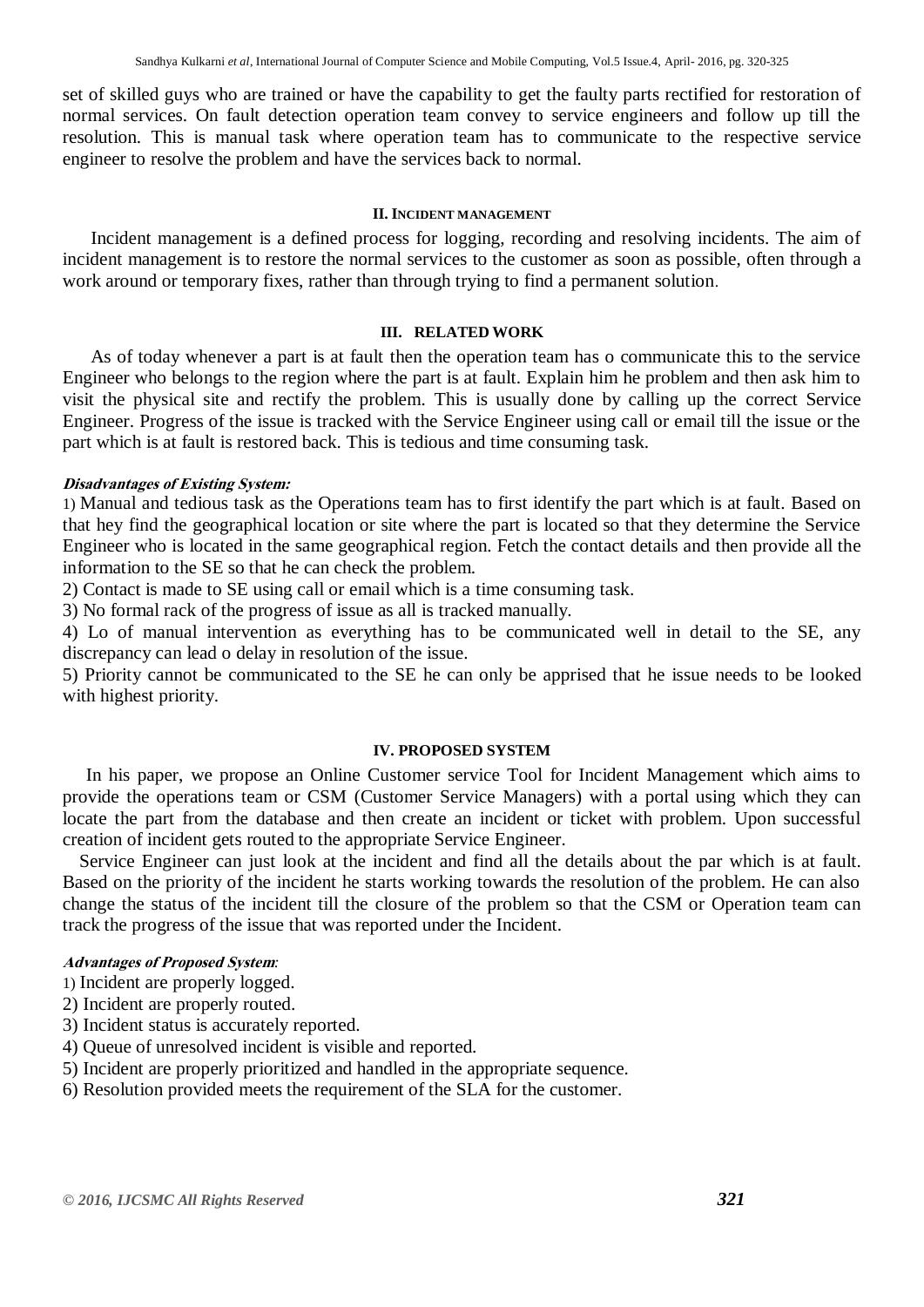set of skilled guys who are trained or have the capability to get the faulty parts rectified for restoration of normal services. On fault detection operation team convey to service engineers and follow up till the resolution. This is manual task where operation team has to communicate to the respective service engineer to resolve the problem and have the services back to normal.

# **II. INCIDENT MANAGEMENT**

 Incident management is a defined process for logging, recording and resolving incidents. The aim of incident management is to restore the normal services to the customer as soon as possible, often through a work around or temporary fixes, rather than through trying to find a permanent solution.

# **III. RELATED WORK**

 As of today whenever a part is at fault then the operation team has o communicate this to the service Engineer who belongs to the region where the part is at fault. Explain him he problem and then ask him to visit the physical site and rectify the problem. This is usually done by calling up the correct Service Engineer. Progress of the issue is tracked with the Service Engineer using call or email till the issue or the part which is at fault is restored back. This is tedious and time consuming task.

# **Disadvantages of Existing System:**

1) Manual and tedious task as the Operations team has to first identify the part which is at fault. Based on that hey find the geographical location or site where the part is located so that they determine the Service Engineer who is located in the same geographical region. Fetch the contact details and then provide all the information to the SE so that he can check the problem.

2) Contact is made to SE using call or email which is a time consuming task.

3) No formal rack of the progress of issue as all is tracked manually.

4) Lo of manual intervention as everything has to be communicated well in detail to the SE, any discrepancy can lead o delay in resolution of the issue.

5) Priority cannot be communicated to the SE he can only be apprised that he issue needs to be looked with highest priority.

## **IV. PROPOSED SYSTEM**

 In his paper, we propose an Online Customer service Tool for Incident Management which aims to provide the operations team or CSM (Customer Service Managers) with a portal using which they can locate the part from the database and then create an incident or ticket with problem. Upon successful creation of incident gets routed to the appropriate Service Engineer.

Service Engineer can just look at the incident and find all the details about the par which is at fault. Based on the priority of the incident he starts working towards the resolution of the problem. He can also change the status of the incident till the closure of the problem so that the CSM or Operation team can track the progress of the issue that was reported under the Incident.

# **Advantages of Proposed System***:*

- 1) Incident are properly logged.
- 2) Incident are properly routed.
- 3) Incident status is accurately reported.
- 4) Queue of unresolved incident is visible and reported.
- 5) Incident are properly prioritized and handled in the appropriate sequence.
- 6) Resolution provided meets the requirement of the SLA for the customer.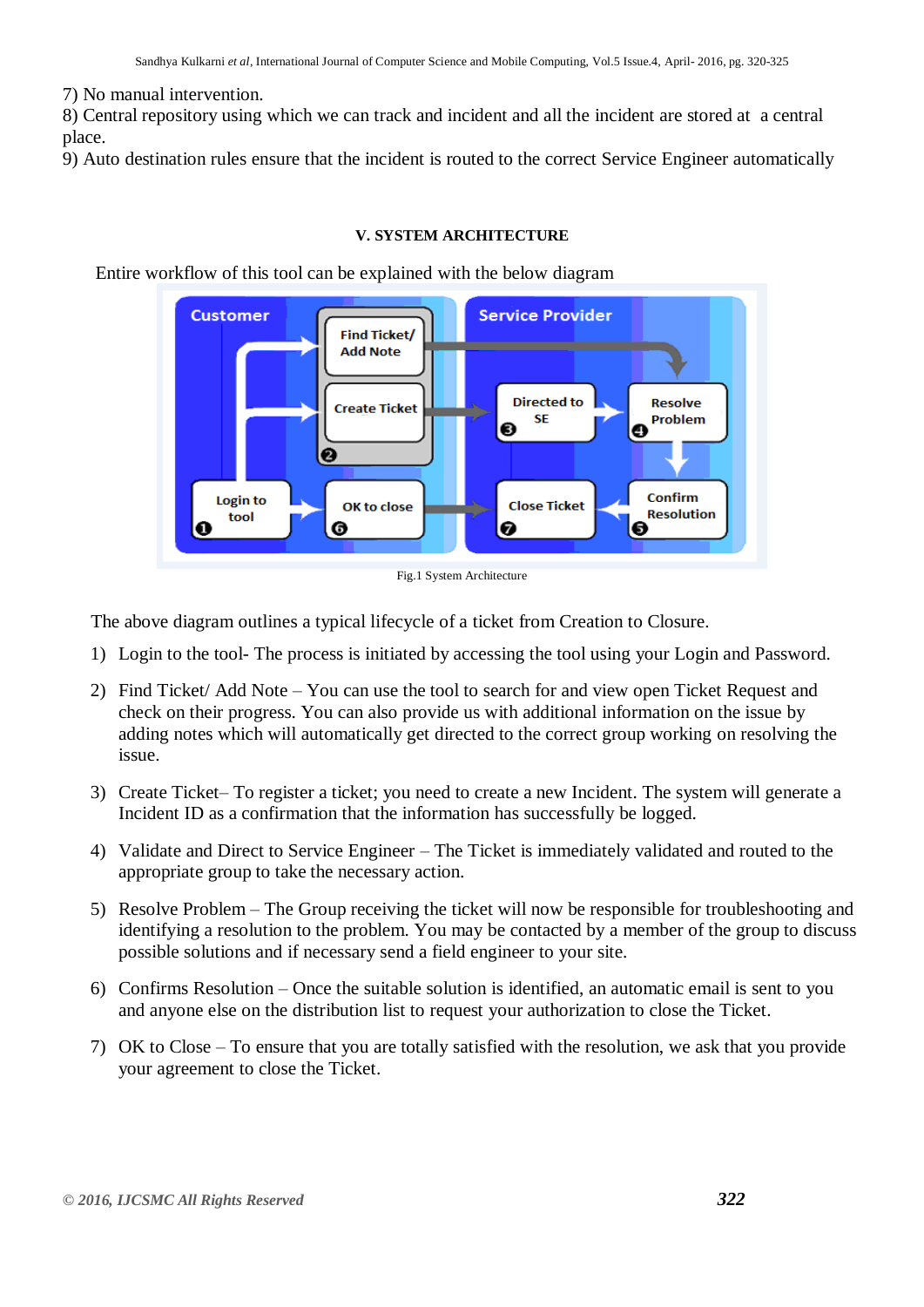7) No manual intervention.

8) Central repository using which we can track and incident and all the incident are stored at a central place.

9) Auto destination rules ensure that the incident is routed to the correct Service Engineer automatically

# **V. SYSTEM ARCHITECTURE**

Entire workflow of this tool can be explained with the below diagram





The above diagram outlines a typical lifecycle of a ticket from Creation to Closure.

- 1) Login to the tool- The process is initiated by accessing the tool using your Login and Password.
- 2) Find Ticket/ Add Note You can use the tool to search for and view open Ticket Request and check on their progress. You can also provide us with additional information on the issue by adding notes which will automatically get directed to the correct group working on resolving the issue.
- 3) Create Ticket– To register a ticket; you need to create a new Incident. The system will generate a Incident ID as a confirmation that the information has successfully be logged.
- 4) Validate and Direct to Service Engineer The Ticket is immediately validated and routed to the appropriate group to take the necessary action.
- 5) Resolve Problem The Group receiving the ticket will now be responsible for troubleshooting and identifying a resolution to the problem. You may be contacted by a member of the group to discuss possible solutions and if necessary send a field engineer to your site.
- 6) Confirms Resolution Once the suitable solution is identified, an automatic email is sent to you and anyone else on the distribution list to request your authorization to close the Ticket.
- 7) OK to Close To ensure that you are totally satisfied with the resolution, we ask that you provide your agreement to close the Ticket.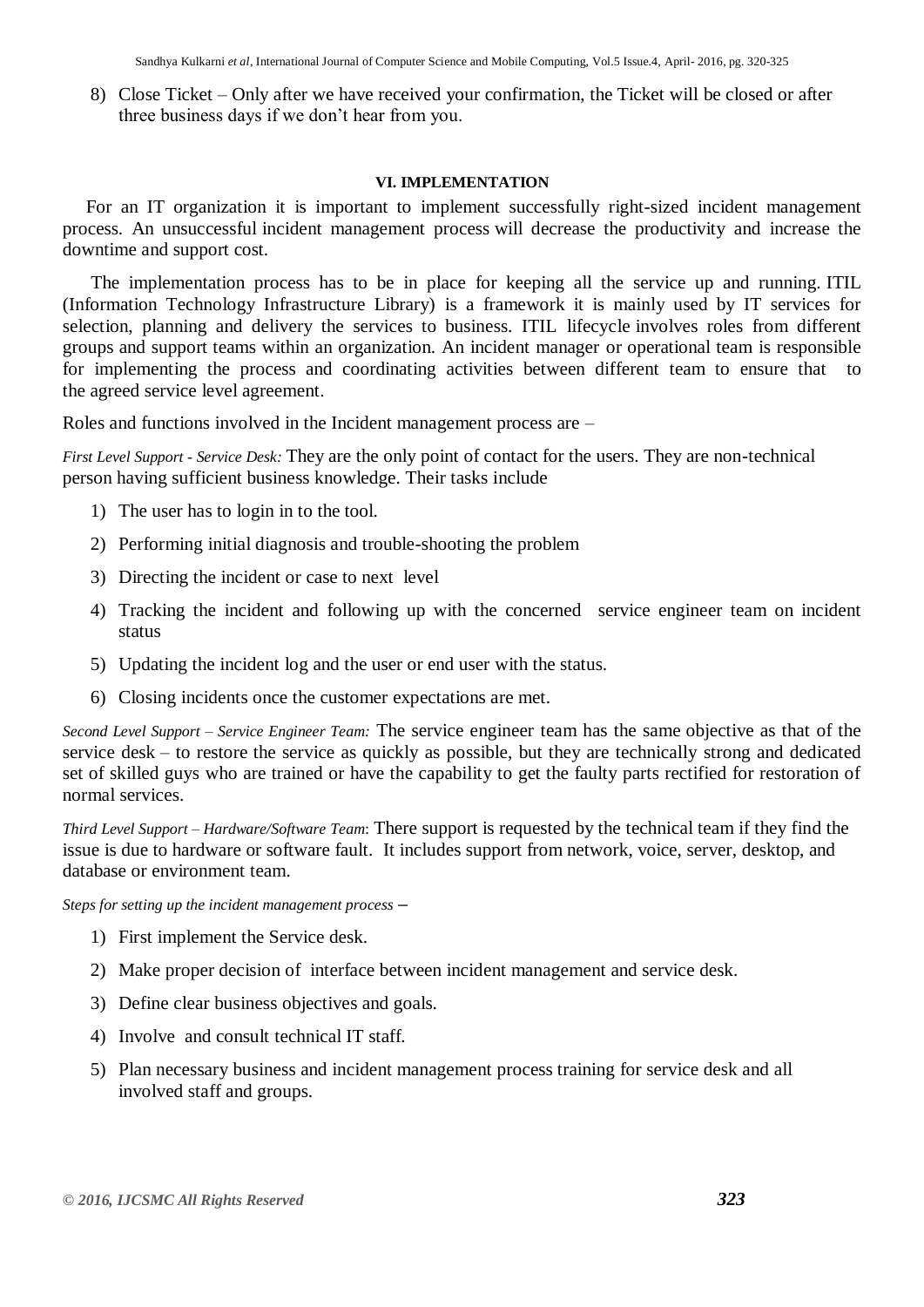8) Close Ticket – Only after we have received your confirmation, the Ticket will be closed or after three business days if we don't hear from you.

## **VI. IMPLEMENTATION**

 For an IT organization it is important to implement successfully right-sized incident management process. An unsuccessful [incident management process](http://www.greycampus.com/opencampus/itil-foundation/incident-management) will decrease the productivity and increase the downtime and support cost.

 The implementation process has to be in place for keeping all the service up and running. [ITIL](http://www.greycampus.com/blog/it-service-management/itil-service-life-cycle)  (Information Technology Infrastructure Library) [is a framework it is mainly used by IT services for](http://www.greycampus.com/blog/it-service-management/itil-service-life-cycle)  [selection, planning and delivery the services to business. ITIL](http://www.greycampus.com/blog/it-service-management/itil-service-life-cycle) lifecycle involves roles from different groups and support teams within an organization. An incident manager or operational team is responsible for implementing the process and coordinating activities between different team to ensure that to the agreed service level agreement.

Roles and functions involved in the Incident management process are –

*First Level Support - Service Desk:* They are the only point of contact for the users. They are non-technical person having sufficient business knowledge. Their tasks include

- 1) The user has to login in to the tool.
- 2) Performing initial diagnosis and trouble-shooting the problem
- 3) Directing the incident or case to next level
- 4) Tracking the incident and following up with the concerned service engineer team on incident status
- 5) Updating the incident log and the user or end user with the status.
- 6) Closing incidents once the customer expectations are met.

*Second Level Support – Service Engineer Team:* The service engineer team has the same objective as that of the service desk – to restore the service as quickly as possible, but they are technically strong and dedicated set of skilled guys who are trained or have the capability to get the faulty parts rectified for restoration of normal services.

*Third Level Support – Hardware/Software Team*: There support is requested by the technical team if they find the issue is due to hardware or software fault. It includes support from network, voice, server, desktop, and database or environment team.

*Steps for setting up the incident management process* **–**

- 1) First implement the Service desk.
- 2) Make proper decision of interface between incident management and service desk.
- 3) Define clear business objectives and goals.
- 4) Involve and consult technical IT staff.
- 5) Plan necessary business and incident management process training for service desk and all involved staff and groups.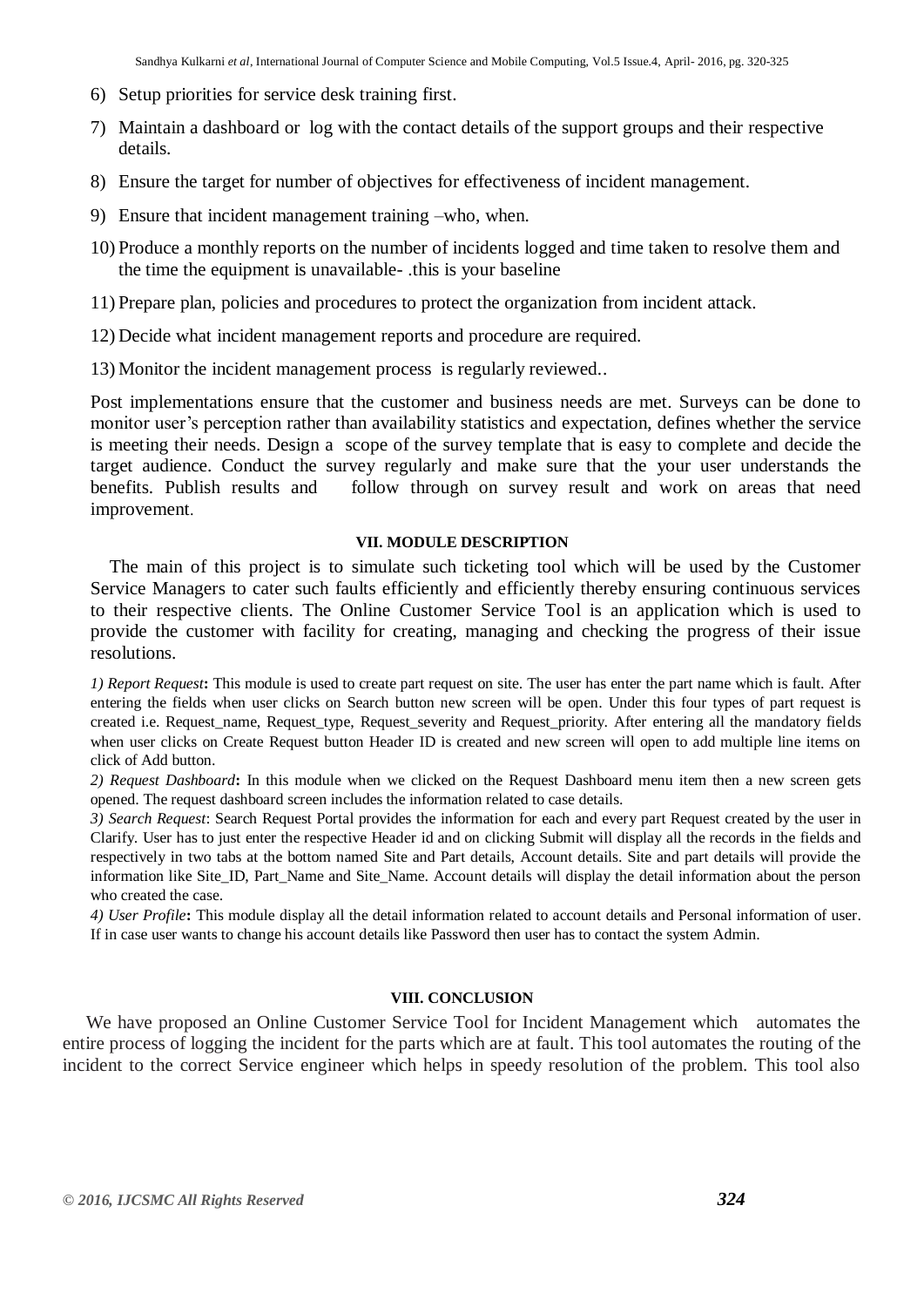- 6) Setup priorities for service desk training first.
- 7) Maintain a dashboard or log with the contact details of the support groups and their respective details.
- 8) Ensure the target for number of objectives for effectiveness of incident management.
- 9) Ensure that incident management training –who, when.
- 10) Produce a monthly reports on the number of incidents logged and time taken to resolve them and the time the equipment is unavailable- .this is your baseline
- 11) Prepare plan, policies and procedures to protect the organization from incident attack.
- 12) Decide what incident management reports and procedure are required.
- 13) Monitor the incident management process is regularly reviewed..

Post implementations ensure that the customer and business needs are met. Surveys can be done to monitor user's perception rather than availability statistics and expectation, defines whether the service is meeting their needs. Design a scope of the survey template that is easy to complete and decide the target audience. Conduct the survey regularly and make sure that the your user understands the benefits. Publish results and follow through on survey result and work on areas that need improvement.

## **VII. MODULE DESCRIPTION**

 The main of this project is to simulate such ticketing tool which will be used by the Customer Service Managers to cater such faults efficiently and efficiently thereby ensuring continuous services to their respective clients. The Online Customer Service Tool is an application which is used to provide the customer with facility for creating, managing and checking the progress of their issue resolutions.

*1) Report Request***:** This module is used to create part request on site. The user has enter the part name which is fault. After entering the fields when user clicks on Search button new screen will be open. Under this four types of part request is created i.e. Request\_name, Request\_type, Request\_severity and Request\_priority. After entering all the mandatory fields when user clicks on Create Request button Header ID is created and new screen will open to add multiple line items on click of Add button.

*2) Request Dashboard***:** In this module when we clicked on the Request Dashboard menu item then a new screen gets opened. The request dashboard screen includes the information related to case details.

*3) Search Request*: Search Request Portal provides the information for each and every part Request created by the user in Clarify. User has to just enter the respective Header id and on clicking Submit will display all the records in the fields and respectively in two tabs at the bottom named Site and Part details, Account details. Site and part details will provide the information like Site\_ID, Part\_Name and Site\_Name. Account details will display the detail information about the person who created the case.

*4) User Profile***:** This module display all the detail information related to account details and Personal information of user. If in case user wants to change his account details like Password then user has to contact the system Admin.

### **VIII. CONCLUSION**

 We have proposed an Online Customer Service Tool for Incident Management which automates the entire process of logging the incident for the parts which are at fault. This tool automates the routing of the incident to the correct Service engineer which helps in speedy resolution of the problem. This tool also